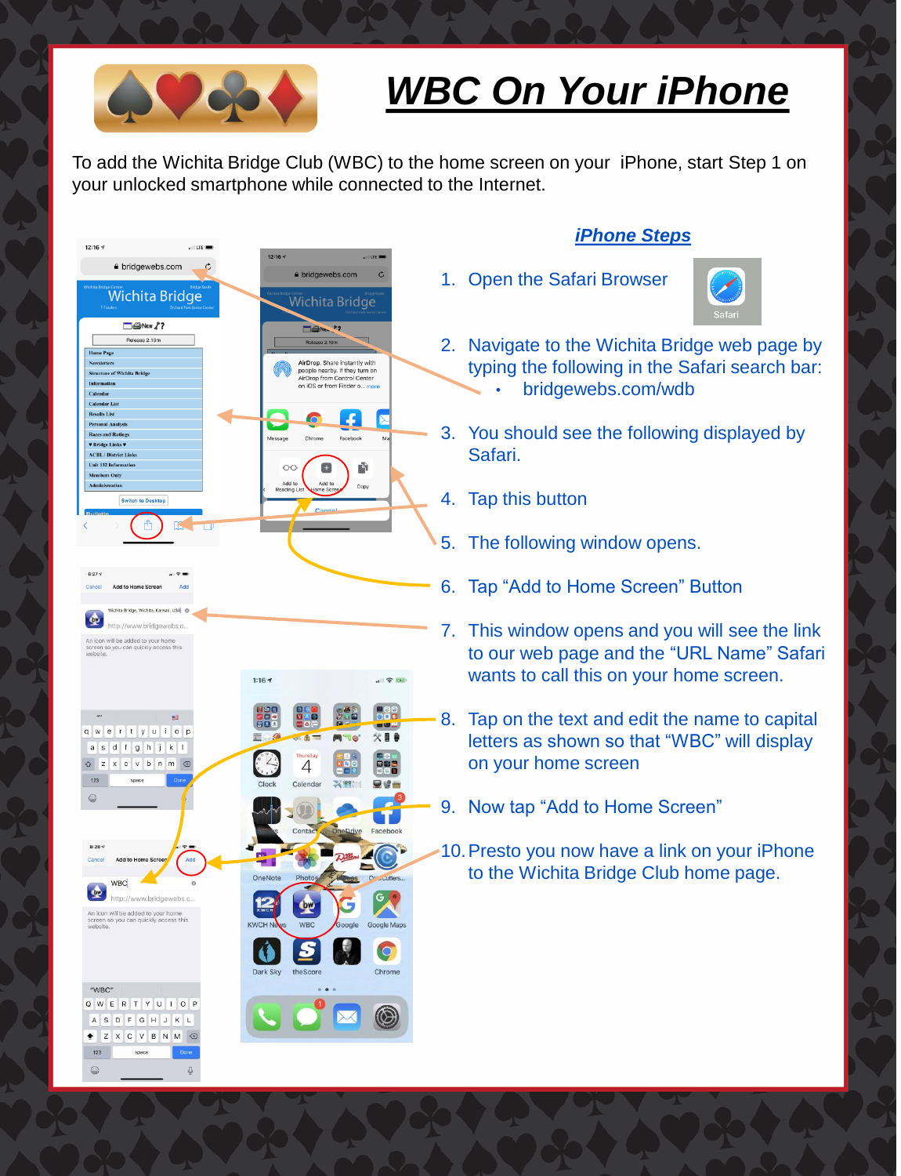

## *WBC On Your iPhone*

To add the Wichita Bridge Club (WBC) to the home screen on your iPhone, start Step 1 on your unlocked smartphone while connected to the Internet.



## *iPhone Steps*

1. Open the Safari Browser



- 2. Navigate to the Wichita Bridge web page by typing the following in the Safari search bar: • bridgewebs.com/wdb
- 3. You should see the following displayed by
- 5. The following window opens.
- 6. Tap "Add to Home Screen" Button
- 7. This window opens and you will see the link to our web page and the "URL Name" Safari wants to call this on your home screen.
- 8. Tap on the text and edit the name to capital letters as shown so that "WBC" will display on your home screen
- 9. Now tap "Add to Home Screen"
- 10.Presto you now have a link on your iPhone to the Wichita Bridge Club home page.